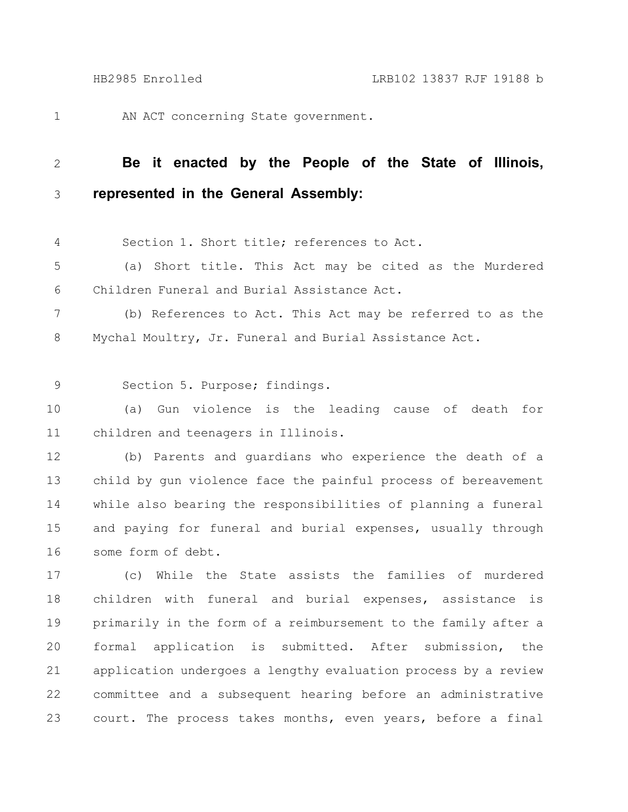1

AN ACT concerning State government.

## **Be it enacted by the People of the State of Illinois, represented in the General Assembly:** 2 3

Section 1. Short title; references to Act. 4

(a) Short title. This Act may be cited as the Murdered Children Funeral and Burial Assistance Act. 5 6

(b) References to Act. This Act may be referred to as the Mychal Moultry, Jr. Funeral and Burial Assistance Act. 7 8

Section 5. Purpose; findings. 9

(a) Gun violence is the leading cause of death for children and teenagers in Illinois. 10 11

(b) Parents and guardians who experience the death of a child by gun violence face the painful process of bereavement while also bearing the responsibilities of planning a funeral and paying for funeral and burial expenses, usually through some form of debt. 12 13 14 15 16

(c) While the State assists the families of murdered children with funeral and burial expenses, assistance is primarily in the form of a reimbursement to the family after a formal application is submitted. After submission, the application undergoes a lengthy evaluation process by a review committee and a subsequent hearing before an administrative court. The process takes months, even years, before a final 17 18 19 20 21 22 23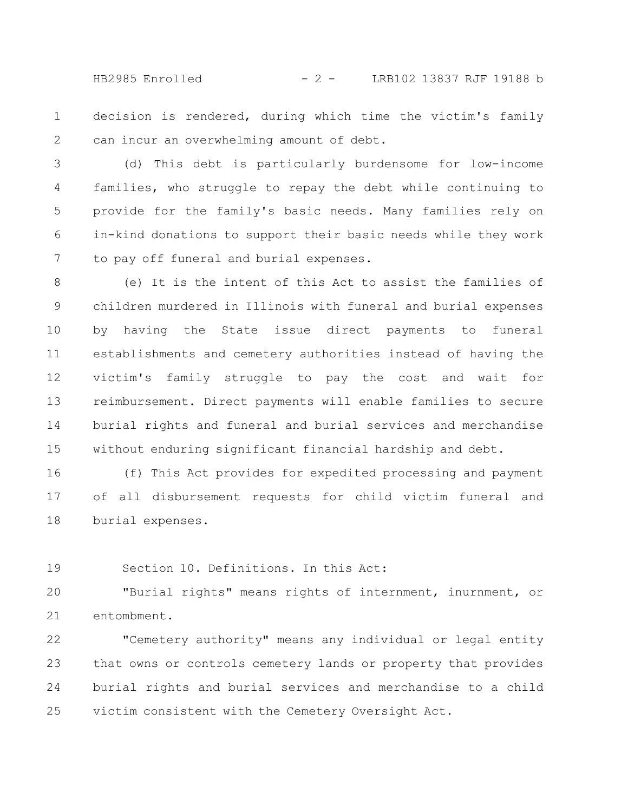HB2985 Enrolled - 2 - LRB102 13837 RJF 19188 b

decision is rendered, during which time the victim's family can incur an overwhelming amount of debt. 1 2

(d) This debt is particularly burdensome for low-income families, who struggle to repay the debt while continuing to provide for the family's basic needs. Many families rely on in-kind donations to support their basic needs while they work to pay off funeral and burial expenses. 3 4 5 6 7

(e) It is the intent of this Act to assist the families of children murdered in Illinois with funeral and burial expenses by having the State issue direct payments to funeral establishments and cemetery authorities instead of having the victim's family struggle to pay the cost and wait for reimbursement. Direct payments will enable families to secure burial rights and funeral and burial services and merchandise without enduring significant financial hardship and debt. 8 9 10 11 12 13 14 15

(f) This Act provides for expedited processing and payment of all disbursement requests for child victim funeral and burial expenses. 16 17 18

Section 10. Definitions. In this Act: 19

"Burial rights" means rights of internment, inurnment, or entombment. 20 21

"Cemetery authority" means any individual or legal entity that owns or controls cemetery lands or property that provides burial rights and burial services and merchandise to a child victim consistent with the Cemetery Oversight Act. 22 23 24 25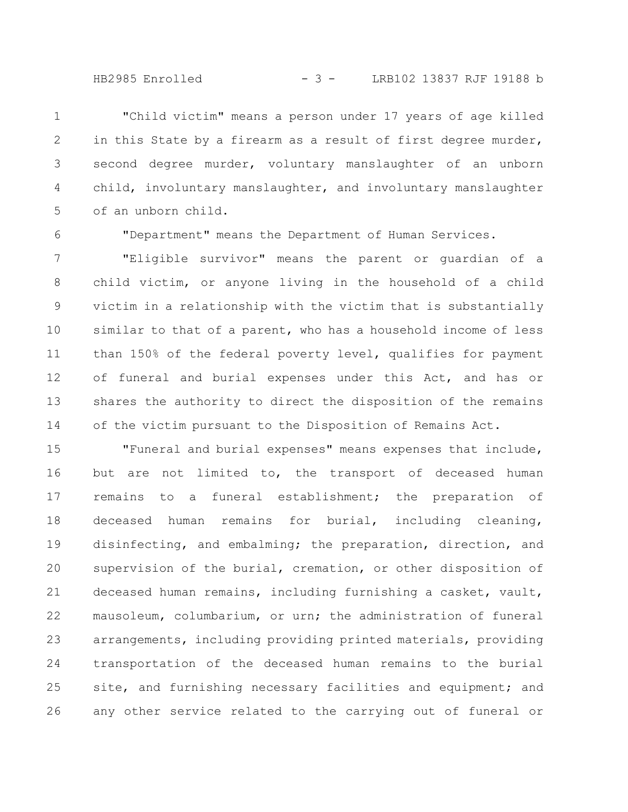HB2985 Enrolled - 3 - LRB102 13837 RJF 19188 b

"Child victim" means a person under 17 years of age killed in this State by a firearm as a result of first degree murder, second degree murder, voluntary manslaughter of an unborn child, involuntary manslaughter, and involuntary manslaughter of an unborn child. 1 2 3 4 5

6

"Department" means the Department of Human Services.

"Eligible survivor" means the parent or guardian of a child victim, or anyone living in the household of a child victim in a relationship with the victim that is substantially similar to that of a parent, who has a household income of less than 150% of the federal poverty level, qualifies for payment of funeral and burial expenses under this Act, and has or shares the authority to direct the disposition of the remains of the victim pursuant to the Disposition of Remains Act. 7 8 9 10 11 12 13 14

"Funeral and burial expenses" means expenses that include, but are not limited to, the transport of deceased human remains to a funeral establishment; the preparation of deceased human remains for burial, including cleaning, disinfecting, and embalming; the preparation, direction, and supervision of the burial, cremation, or other disposition of deceased human remains, including furnishing a casket, vault, mausoleum, columbarium, or urn; the administration of funeral arrangements, including providing printed materials, providing transportation of the deceased human remains to the burial site, and furnishing necessary facilities and equipment; and any other service related to the carrying out of funeral or 15 16 17 18 19 20 21 22 23 24 25 26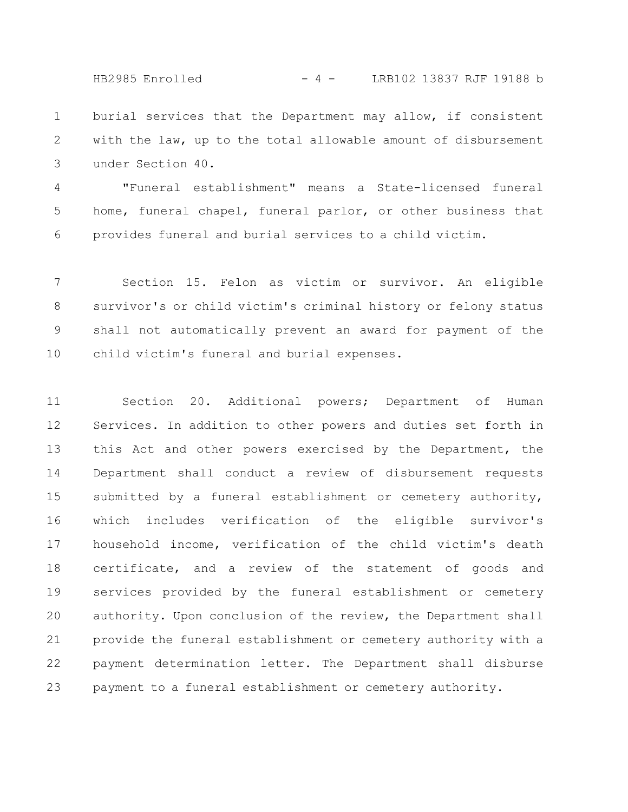HB2985 Enrolled - 4 - LRB102 13837 RJF 19188 b

burial services that the Department may allow, if consistent with the law, up to the total allowable amount of disbursement under Section 40. 1 2 3

"Funeral establishment" means a State-licensed funeral home, funeral chapel, funeral parlor, or other business that provides funeral and burial services to a child victim. 4 5 6

Section 15. Felon as victim or survivor. An eligible survivor's or child victim's criminal history or felony status shall not automatically prevent an award for payment of the child victim's funeral and burial expenses. 7 8 9 10

Section 20. Additional powers; Department of Human Services. In addition to other powers and duties set forth in this Act and other powers exercised by the Department, the Department shall conduct a review of disbursement requests submitted by a funeral establishment or cemetery authority, which includes verification of the eligible survivor's household income, verification of the child victim's death certificate, and a review of the statement of goods and services provided by the funeral establishment or cemetery authority. Upon conclusion of the review, the Department shall provide the funeral establishment or cemetery authority with a payment determination letter. The Department shall disburse payment to a funeral establishment or cemetery authority. 11 12 13 14 15 16 17 18 19 20 21 22 23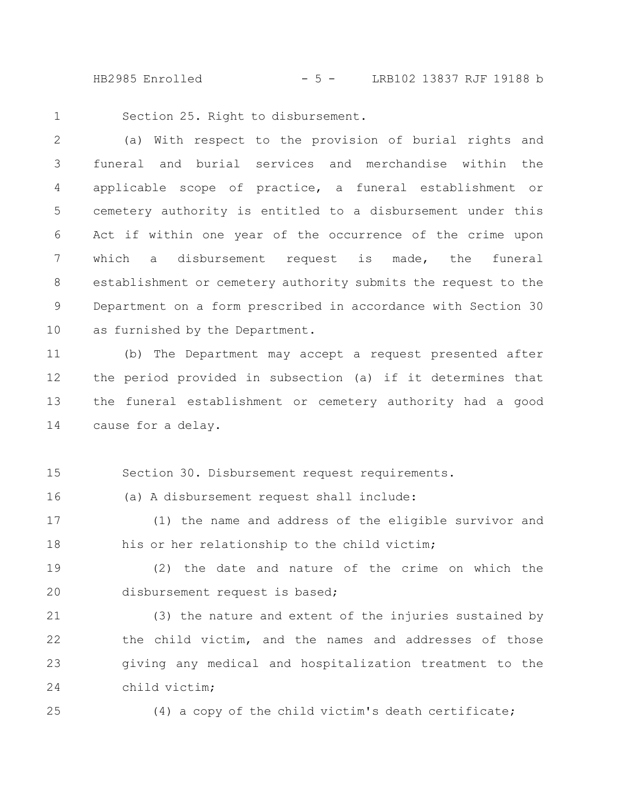HB2985 Enrolled - 5 - LRB102 13837 RJF 19188 b

Section 25. Right to disbursement. 1

(a) With respect to the provision of burial rights and funeral and burial services and merchandise within the applicable scope of practice, a funeral establishment or cemetery authority is entitled to a disbursement under this Act if within one year of the occurrence of the crime upon which a disbursement request is made, the funeral establishment or cemetery authority submits the request to the Department on a form prescribed in accordance with Section 30 as furnished by the Department. 2 3 4 5 6 7 8 9 10

(b) The Department may accept a request presented after the period provided in subsection (a) if it determines that the funeral establishment or cemetery authority had a good cause for a delay. 11 12 13 14

Section 30. Disbursement request requirements. 15

(a) A disbursement request shall include:

(1) the name and address of the eligible survivor and his or her relationship to the child victim; 17 18

(2) the date and nature of the crime on which the disbursement request is based; 19 20

(3) the nature and extent of the injuries sustained by the child victim, and the names and addresses of those giving any medical and hospitalization treatment to the child victim; 21 22 23 24

25

16

(4) a copy of the child victim's death certificate;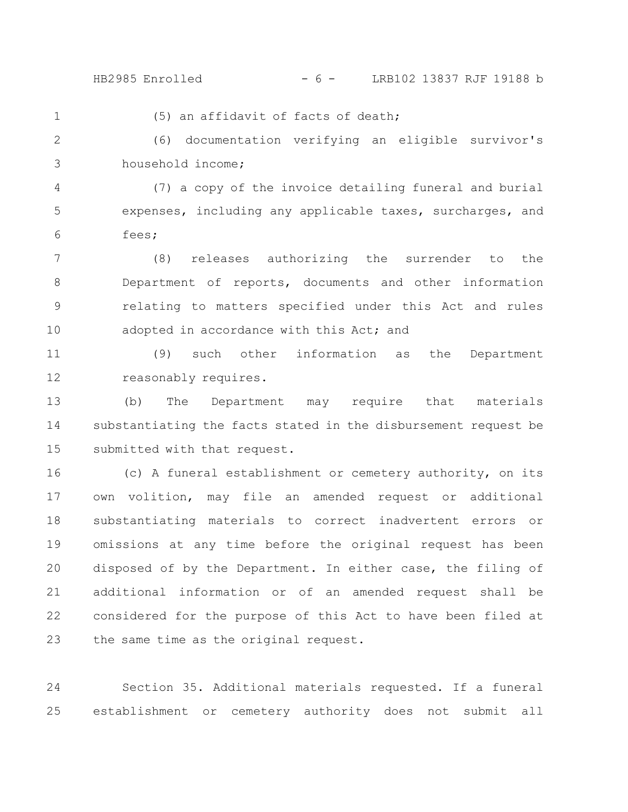1

## HB2985 Enrolled - 6 - LRB102 13837 RJF 19188 b

(5) an affidavit of facts of death;

(6) documentation verifying an eligible survivor's household income; 2 3

(7) a copy of the invoice detailing funeral and burial expenses, including any applicable taxes, surcharges, and fees; 4 5 6

(8) releases authorizing the surrender to the Department of reports, documents and other information relating to matters specified under this Act and rules adopted in accordance with this Act; and 7 8 9 10

(9) such other information as the Department reasonably requires. 11 12

(b) The Department may require that materials substantiating the facts stated in the disbursement request be submitted with that request. 13 14 15

(c) A funeral establishment or cemetery authority, on its own volition, may file an amended request or additional substantiating materials to correct inadvertent errors or omissions at any time before the original request has been disposed of by the Department. In either case, the filing of additional information or of an amended request shall be considered for the purpose of this Act to have been filed at the same time as the original request. 16 17 18 19 20 21 22 23

Section 35. Additional materials requested. If a funeral establishment or cemetery authority does not submit all 24 25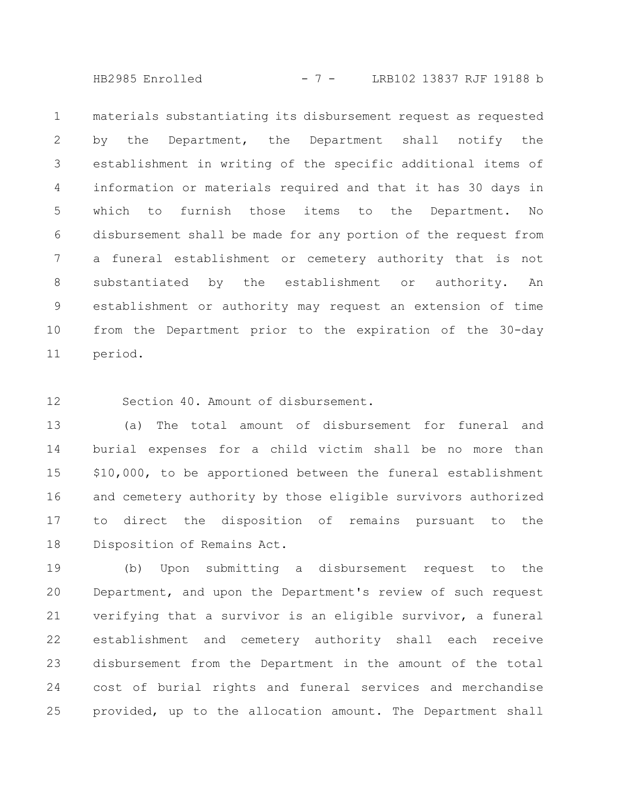HB2985 Enrolled - 7 - LRB102 13837 RJF 19188 b

materials substantiating its disbursement request as requested by the Department, the Department shall notify the establishment in writing of the specific additional items of information or materials required and that it has 30 days in which to furnish those items to the Department. No disbursement shall be made for any portion of the request from a funeral establishment or cemetery authority that is not substantiated by the establishment or authority. An establishment or authority may request an extension of time from the Department prior to the expiration of the 30-day period. 1 2 3 4 5 6 7 8 9 10 11

Section 40. Amount of disbursement. 12

(a) The total amount of disbursement for funeral and burial expenses for a child victim shall be no more than \$10,000, to be apportioned between the funeral establishment and cemetery authority by those eligible survivors authorized to direct the disposition of remains pursuant to the Disposition of Remains Act. 13 14 15 16 17 18

(b) Upon submitting a disbursement request to the Department, and upon the Department's review of such request verifying that a survivor is an eligible survivor, a funeral establishment and cemetery authority shall each receive disbursement from the Department in the amount of the total cost of burial rights and funeral services and merchandise provided, up to the allocation amount. The Department shall 19 20 21 22 23 24 25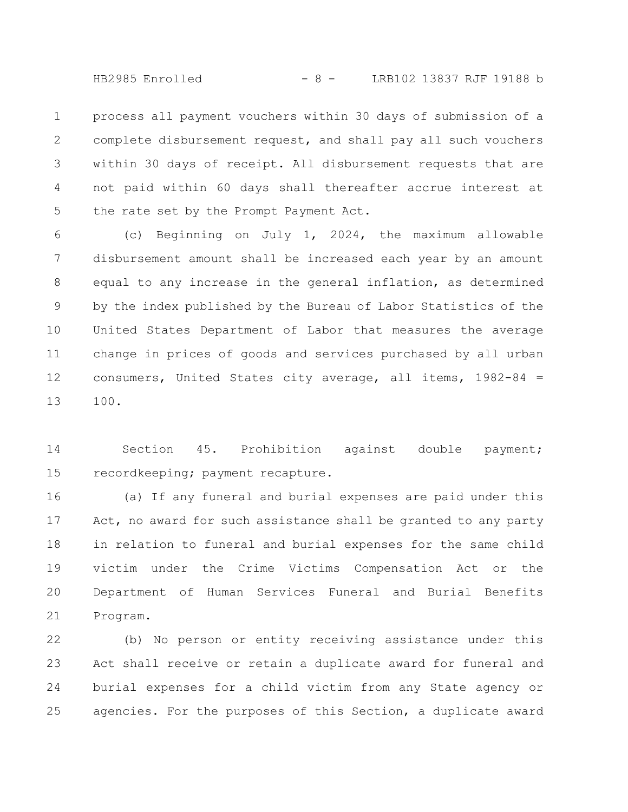HB2985 Enrolled - 8 - LRB102 13837 RJF 19188 b

process all payment vouchers within 30 days of submission of a complete disbursement request, and shall pay all such vouchers within 30 days of receipt. All disbursement requests that are not paid within 60 days shall thereafter accrue interest at the rate set by the Prompt Payment Act. 1 2 3 4 5

(c) Beginning on July 1, 2024, the maximum allowable disbursement amount shall be increased each year by an amount equal to any increase in the general inflation, as determined by the index published by the Bureau of Labor Statistics of the United States Department of Labor that measures the average change in prices of goods and services purchased by all urban consumers, United States city average, all items, 1982-84 = 100. 6 7 8 9 10 11 12 13

Section 45. Prohibition against double payment; recordkeeping; payment recapture. 14 15

(a) If any funeral and burial expenses are paid under this Act, no award for such assistance shall be granted to any party in relation to funeral and burial expenses for the same child victim under the Crime Victims Compensation Act or the Department of Human Services Funeral and Burial Benefits Program. 16 17 18 19 20 21

(b) No person or entity receiving assistance under this Act shall receive or retain a duplicate award for funeral and burial expenses for a child victim from any State agency or agencies. For the purposes of this Section, a duplicate award 22 23 24 25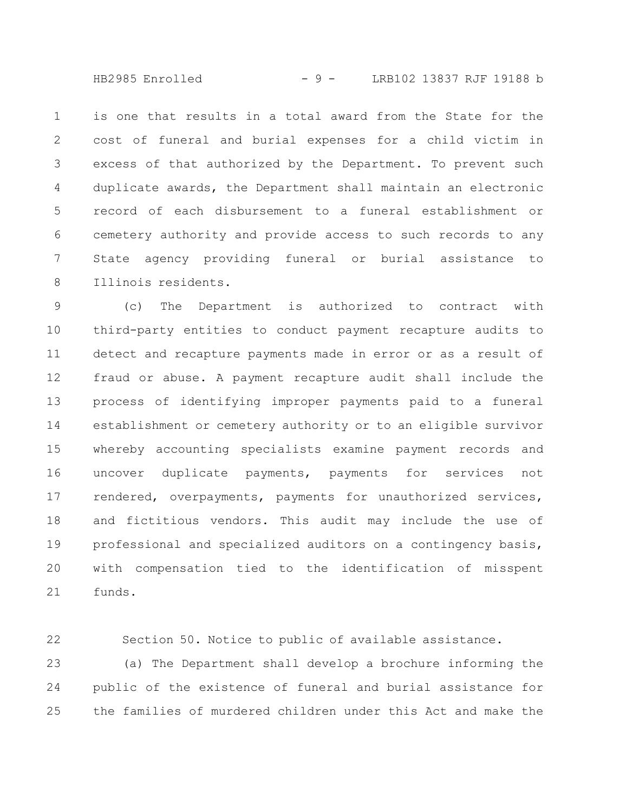HB2985 Enrolled - 9 - LRB102 13837 RJF 19188 b

is one that results in a total award from the State for the cost of funeral and burial expenses for a child victim in excess of that authorized by the Department. To prevent such duplicate awards, the Department shall maintain an electronic record of each disbursement to a funeral establishment or cemetery authority and provide access to such records to any State agency providing funeral or burial assistance to Illinois residents. 1 2 3 4 5 6 7 8

(c) The Department is authorized to contract with third-party entities to conduct payment recapture audits to detect and recapture payments made in error or as a result of fraud or abuse. A payment recapture audit shall include the process of identifying improper payments paid to a funeral establishment or cemetery authority or to an eligible survivor whereby accounting specialists examine payment records and uncover duplicate payments, payments for services not rendered, overpayments, payments for unauthorized services, and fictitious vendors. This audit may include the use of professional and specialized auditors on a contingency basis, with compensation tied to the identification of misspent funds. 9 10 11 12 13 14 15 16 17 18 19 20 21

Section 50. Notice to public of available assistance. 22

(a) The Department shall develop a brochure informing the public of the existence of funeral and burial assistance for the families of murdered children under this Act and make the 23 24 25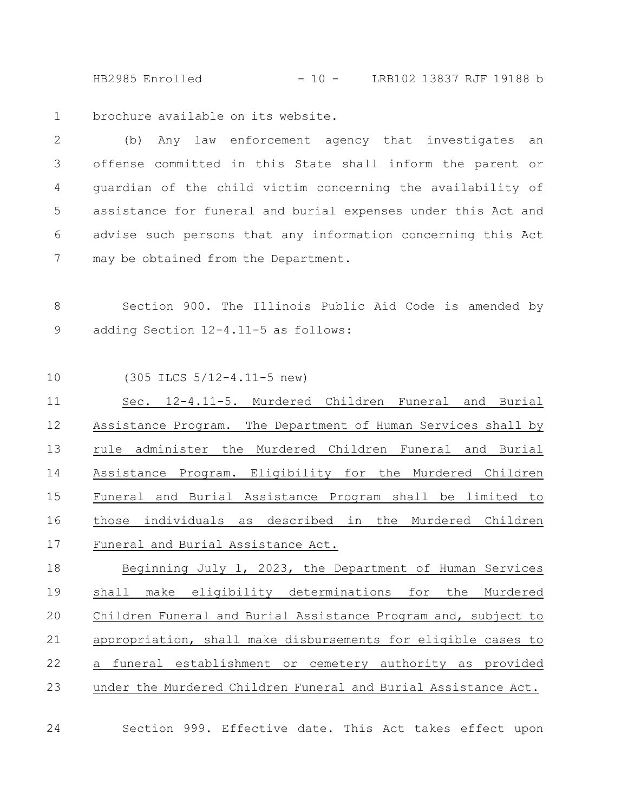HB2985 Enrolled - 10 - LRB102 13837 RJF 19188 b

brochure available on its website. 1

(b) Any law enforcement agency that investigates an offense committed in this State shall inform the parent or guardian of the child victim concerning the availability of assistance for funeral and burial expenses under this Act and advise such persons that any information concerning this Act may be obtained from the Department. 2 3 4 5 6 7

Section 900. The Illinois Public Aid Code is amended by adding Section 12-4.11-5 as follows: 8 9

(305 ILCS 5/12-4.11-5 new) 10

Sec. 12-4.11-5. Murdered Children Funeral and Burial Assistance Program. The Department of Human Services shall by rule administer the Murdered Children Funeral and Burial Assistance Program. Eligibility for the Murdered Children Funeral and Burial Assistance Program shall be limited to those individuals as described in the Murdered Children Funeral and Burial Assistance Act. 11 12 13 14 15 16 17

Beginning July 1, 2023, the Department of Human Services shall make eligibility determinations for the Murdered Children Funeral and Burial Assistance Program and, subject to appropriation, shall make disbursements for eligible cases to a funeral establishment or cemetery authority as provided under the Murdered Children Funeral and Burial Assistance Act. 18 19 20 21 22 23

24

Section 999. Effective date. This Act takes effect upon